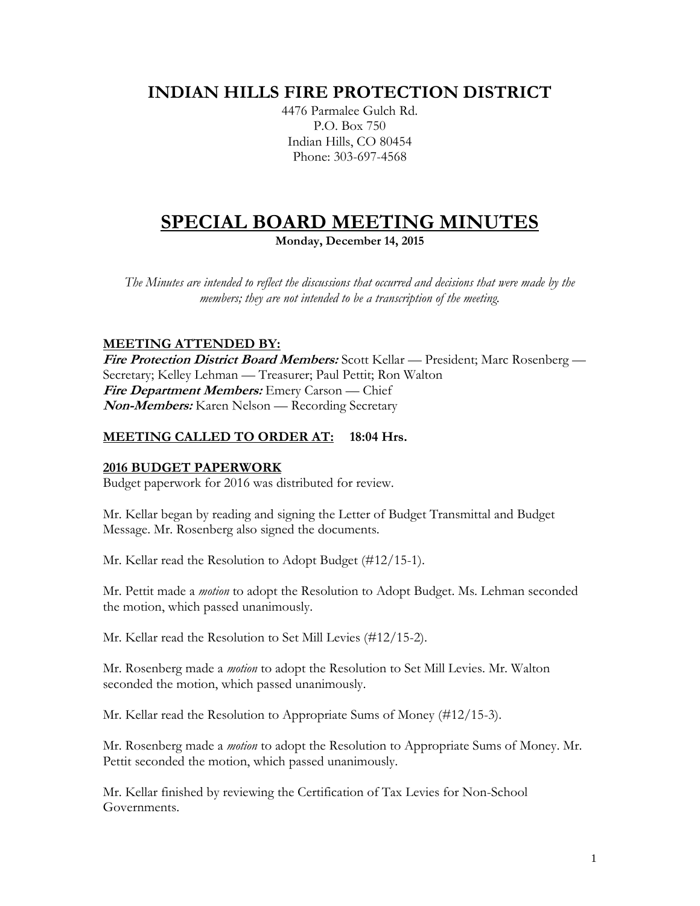# **INDIAN HILLS FIRE PROTECTION DISTRICT**

4476 Parmalee Gulch Rd. P.O. Box 750 Indian Hills, CO 80454 Phone: 303-697-4568

# **SPECIAL BOARD MEETING MINUTES**

**Monday, December 14, 2015**

*The Minutes are intended to reflect the discussions that occurred and decisions that were made by the members; they are not intended to be a transcription of the meeting.*

# **MEETING ATTENDED BY:**

**Fire Protection District Board Members:** Scott Kellar — President; Marc Rosenberg — Secretary; Kelley Lehman — Treasurer; Paul Pettit; Ron Walton **Fire Department Members:** Emery Carson — Chief **Non-Members:** Karen Nelson — Recording Secretary

# **MEETING CALLED TO ORDER AT: 18:04 Hrs.**

# **2016 BUDGET PAPERWORK**

Budget paperwork for 2016 was distributed for review.

Mr. Kellar began by reading and signing the Letter of Budget Transmittal and Budget Message. Mr. Rosenberg also signed the documents.

Mr. Kellar read the Resolution to Adopt Budget (#12/15-1).

Mr. Pettit made a *motion* to adopt the Resolution to Adopt Budget. Ms. Lehman seconded the motion, which passed unanimously.

Mr. Kellar read the Resolution to Set Mill Levies (#12/15-2).

Mr. Rosenberg made a *motion* to adopt the Resolution to Set Mill Levies. Mr. Walton seconded the motion, which passed unanimously.

Mr. Kellar read the Resolution to Appropriate Sums of Money (#12/15-3).

Mr. Rosenberg made a *motion* to adopt the Resolution to Appropriate Sums of Money. Mr. Pettit seconded the motion, which passed unanimously.

Mr. Kellar finished by reviewing the Certification of Tax Levies for Non-School Governments.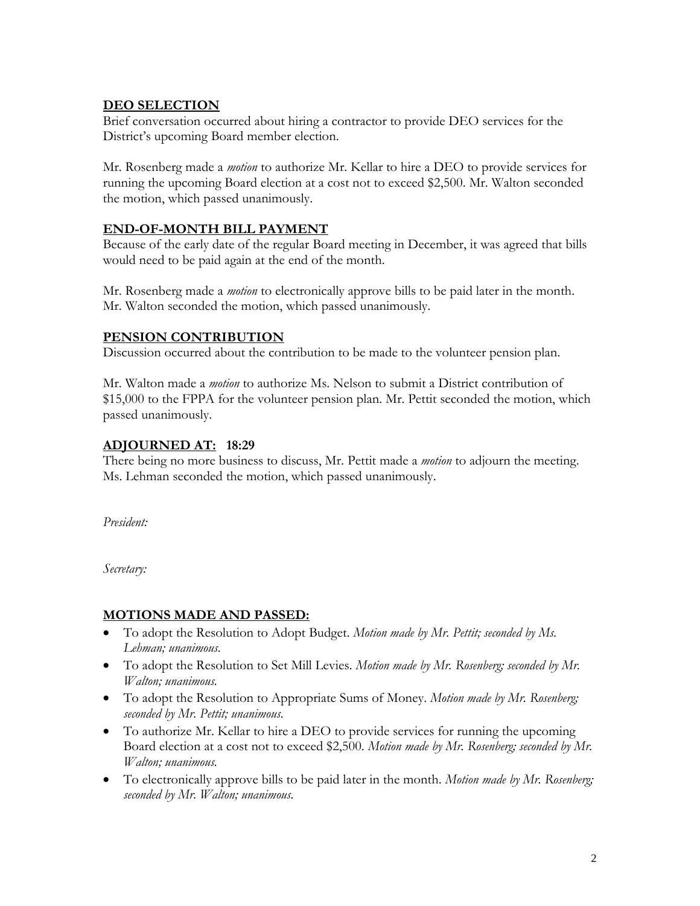#### **DEO SELECTION**

Brief conversation occurred about hiring a contractor to provide DEO services for the District's upcoming Board member election.

Mr. Rosenberg made a *motion* to authorize Mr. Kellar to hire a DEO to provide services for running the upcoming Board election at a cost not to exceed \$2,500. Mr. Walton seconded the motion, which passed unanimously.

# **END-OF-MONTH BILL PAYMENT**

Because of the early date of the regular Board meeting in December, it was agreed that bills would need to be paid again at the end of the month.

Mr. Rosenberg made a *motion* to electronically approve bills to be paid later in the month. Mr. Walton seconded the motion, which passed unanimously.

#### **PENSION CONTRIBUTION**

Discussion occurred about the contribution to be made to the volunteer pension plan.

Mr. Walton made a *motion* to authorize Ms. Nelson to submit a District contribution of \$15,000 to the FPPA for the volunteer pension plan. Mr. Pettit seconded the motion, which passed unanimously.

#### **ADJOURNED AT: 18:29**

There being no more business to discuss, Mr. Pettit made a *motion* to adjourn the meeting. Ms. Lehman seconded the motion, which passed unanimously.

*President:*

*Secretary:*

#### **MOTIONS MADE AND PASSED:**

- To adopt the Resolution to Adopt Budget. *Motion made by Mr. Pettit; seconded by Ms. Lehman; unanimous.*
- To adopt the Resolution to Set Mill Levies. *Motion made by Mr. Rosenberg; seconded by Mr. Walton; unanimous.*
- To adopt the Resolution to Appropriate Sums of Money. *Motion made by Mr. Rosenberg; seconded by Mr. Pettit; unanimous.*
- To authorize Mr. Kellar to hire a DEO to provide services for running the upcoming Board election at a cost not to exceed \$2,500. *Motion made by Mr. Rosenberg; seconded by Mr. Walton; unanimous.*
- To electronically approve bills to be paid later in the month. *Motion made by Mr. Rosenberg; seconded by Mr. Walton; unanimous.*